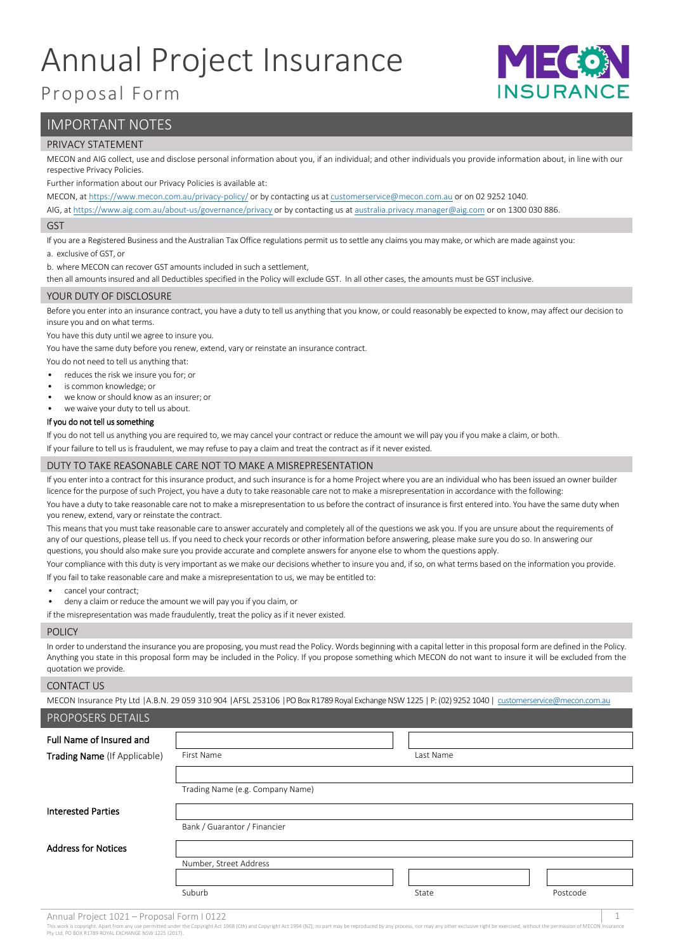# Annual Project Insurance



# Proposal Form

# IMPORTANT NOTES

#### PRIVACY STATEMENT

MECON and AIG collect, use and disclose personal information about you, if an individual; and other individuals you provide information about, in line with our respective Privacy Policies.

Further information about our Privacy Policies is available at:

MECON, a[t https://www.mecon.com.au/privacy-policy/](https://www.mecon.com.au/privacy-policy/) or by contacting us a[t customerservice@mecon.com.au](mailto:customerservice@mecon.com.au) or on 02 9252 1040.

AIG, a[t https://www.aig.com.au/about-us/governance/privacy](https://www.aig.com.au/about-us/governance/privacy) or by contacting us a[t australia.privacy.manager@aig.com](mailto:australia.privacy.manager@aig.com) or on 1300 030 886.

#### GST

If you are a Registered Business and the Australian Tax Office regulations permit us to settle any claims you may make, or which are made against you:

a. exclusive of GST, or

b. where MECON can recover GST amounts included in such a settlement,

then all amounts insured and all Deductibles specified in the Policy will exclude GST. In all other cases, the amounts must be GST inclusive.

#### YOUR DUTY OF DISCLOSURE

Before you enter into an insurance contract, you have a duty to tell us anything that you know, or could reasonably be expected to know, may affect our decision to insure you and on what terms.

You have this duty until we agree to insure you.

You have the same duty before you renew, extend, vary or reinstate an insurance contract.

You do not need to tell us anything that:

- reduces the risk we insure you for; or
- is common knowledge; or
- we know or should know as an insurer; or
- we waive your duty to tell us about.

#### If you do not tell us something

If you do not tell us anything you are required to, we may cancel your contract or reduce the amount we will pay you if you make a claim, or both.

If your failure to tell us is fraudulent, we may refuse to pay a claim and treat the contract as if it never existed.

#### DUTY TO TAKE REASONABLE CARE NOT TO MAKE A MISREPRESENTATION

If you enter into a contract for this insurance product, and such insurance is for a home Project where you are an individual who has been issued an owner builder licence for the purpose of such Project, you have a duty to take reasonable care not to make a misrepresentation in accordance with the following:

You have a duty to take reasonable care not to make a misrepresentation to us before the contract of insurance is first entered into. You have the same duty when you renew, extend, vary or reinstate the contract.

This means that you must take reasonable care to answer accurately and completely all of the questions we ask you. If you are unsure about the requirements of any of our questions, please tell us. If you need to check your records or other information before answering, please make sure you do so. In answering our questions, you should also make sure you provide accurate and complete answers for anyone else to whom the questions apply.

Your compliance with this duty is very important as we make our decisions whether to insure you and, if so, on what terms based on the information you provide. If you fail to take reasonable care and make a misrepresentation to us, we may be entitled to:

- cancel your contract;
- deny a claim or reduce the amount we will pay you if you claim, or

if the misrepresentation was made fraudulently, treat the policy as if it never existed.

#### **POLICY**

In order to understand the insurance you are proposing, you must read the Policy. Words beginning with a capital letter in this proposal form are defined in the Policy. Anything you state in this proposal form may be included in the Policy. If you propose something which MECON do not want to insure it will be excluded from the quotation we provide.

#### CONTACT US

MECON Insurance Pty Ltd |A.B.N. 29 059 310 904 |AFSL 253106 |PO Box R1789 Royal Exchange NSW 1225 | P: (02) 9252 1040 | [customerservice@mecon.com.au](mailto:customerservice@mecon.com.au)

#### PROPOSERS DETAILS

| Full Name of Insured and<br>Trading Name (If Applicable) | First Name                       | Last Name |          |
|----------------------------------------------------------|----------------------------------|-----------|----------|
|                                                          |                                  |           |          |
|                                                          | Trading Name (e.g. Company Name) |           |          |
| <b>Interested Parties</b>                                |                                  |           |          |
|                                                          | Bank / Guarantor / Financier     |           |          |
| <b>Address for Notices</b>                               |                                  |           |          |
|                                                          | Number, Street Address           |           |          |
|                                                          |                                  |           |          |
|                                                          | Suburb                           | State     | Postcode |

act 1968 (Cth) and Copyright Act 1994 (NZ), no pa Inis work is copyright. Apart from any use permitted under<br>Pty Ltd, PO BOX R1789 ROYAL EXCHANGE NSW 1225 (2017)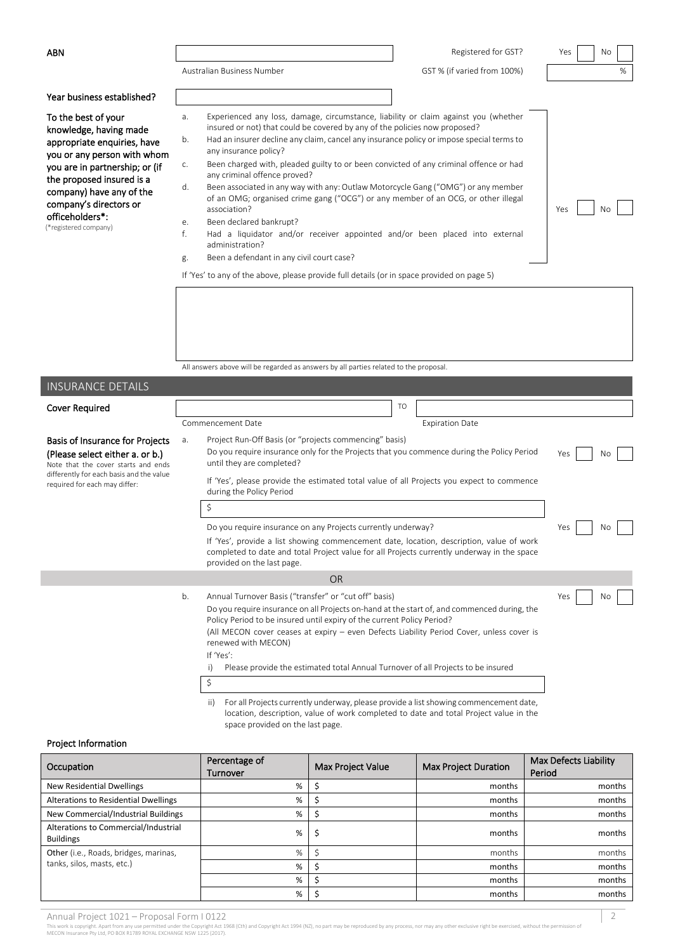|  | Australian Business Numbe |  |
|--|---------------------------|--|

| ABN                        |                            | Registered for GST?         | Yes | No |   |
|----------------------------|----------------------------|-----------------------------|-----|----|---|
|                            | Australian Business Number | GST % (if varied from 100%) |     |    | % |
| Year business established? |                            |                             |     |    |   |

| Year business established? |  |
|----------------------------|--|
|----------------------------|--|

To the best of your knowledge, having made appropriate enquiries, have you or any person with whom you are in partnership; or (if the proposed insured is a company) have any of the company's directors or officeholders\*: (\*registered company)

| a.             | Experienced any loss, damage, circumstance, liability or claim against you (whether<br>insured or not) that could be covered by any of the policies now proposed?      |           |
|----------------|------------------------------------------------------------------------------------------------------------------------------------------------------------------------|-----------|
| b.             | Had an insurer decline any claim, cancel any insurance policy or impose special terms to<br>any insurance policy?                                                      |           |
| $\mathsf{C}$ . | Been charged with, pleaded guilty to or been convicted of any criminal offence or had<br>any criminal offence proved?                                                  |           |
| d.             | Been associated in any way with any: Outlaw Motorcycle Gang ("OMG") or any member<br>of an OMG; organised crime gang ("OCG") or any member of an OCG, or other illegal |           |
|                | association?                                                                                                                                                           | Νc<br>Yes |
| $e$ .          | Been declared bankrupt?                                                                                                                                                |           |

- f. Had a liquidator and/or receiver appointed and/or been placed into external administration?
- g. Been a defendant in any civil court case?

If 'Yes' to any of the above, please provide full details (or in space provided on page 5)

All answers above will be regarded as answers by all parties related to the proposal.

| <b>INSURANCE DETAILS</b>                                                                                         |    |                                                                                                                                                                                                                                                                                                                                                   |           |
|------------------------------------------------------------------------------------------------------------------|----|---------------------------------------------------------------------------------------------------------------------------------------------------------------------------------------------------------------------------------------------------------------------------------------------------------------------------------------------------|-----------|
| Cover Required                                                                                                   |    | TO                                                                                                                                                                                                                                                                                                                                                |           |
|                                                                                                                  |    | Commencement Date<br><b>Expiration Date</b>                                                                                                                                                                                                                                                                                                       |           |
| <b>Basis of Insurance for Projects</b><br>(Please select either a. or b.)<br>Note that the cover starts and ends | а. | Project Run-Off Basis (or "projects commencing" basis)<br>Do you require insurance only for the Projects that you commence during the Policy Period<br>until they are completed?                                                                                                                                                                  | Yes<br>No |
| differently for each basis and the value<br>required for each may differ:                                        |    | If 'Yes', please provide the estimated total value of all Projects you expect to commence<br>during the Policy Period                                                                                                                                                                                                                             |           |
|                                                                                                                  |    | \$                                                                                                                                                                                                                                                                                                                                                |           |
|                                                                                                                  |    | Do you require insurance on any Projects currently underway?                                                                                                                                                                                                                                                                                      | Yes<br>No |
|                                                                                                                  |    |                                                                                                                                                                                                                                                                                                                                                   |           |
|                                                                                                                  |    | <b>OR</b>                                                                                                                                                                                                                                                                                                                                         |           |
|                                                                                                                  | b. | Annual Turnover Basis ("transfer" or "cut off" basis)<br>Do you require insurance on all Projects on-hand at the start of, and commenced during, the<br>Policy Period to be insured until expiry of the current Policy Period?<br>(All MECON cover ceases at expiry - even Defects Liability Period Cover, unless cover is<br>renewed with MECON) | Yes<br>No |
|                                                                                                                  |    | If 'Yes':<br>Please provide the estimated total Annual Turnover of all Projects to be insured<br>i)                                                                                                                                                                                                                                               |           |
|                                                                                                                  |    | \$                                                                                                                                                                                                                                                                                                                                                |           |
|                                                                                                                  |    | the state of the contract of the contract of the con-<br>the state of the state of the state of<br>$\mathbf{u}$ and $\mathbf{v}$                                                                                                                                                                                                                  |           |

 ii) For all Projects currently underway, please provide a list showing commencement date, location, description, value of work completed to date and total Project value in the space provided on the last page.

#### Project Information

| Occupation                                               | Percentage of<br>Turnover | Max Project Value | Max Project Duration | Max Defects Liability<br>Period |
|----------------------------------------------------------|---------------------------|-------------------|----------------------|---------------------------------|
| New Residential Dwellings                                | %                         |                   | months               | months                          |
| Alterations to Residential Dwellings                     | %                         |                   | months               | months                          |
| New Commercial/Industrial Buildings                      | %                         |                   | months               | months                          |
| Alterations to Commercial/Industrial<br><b>Buildings</b> | %                         | ১                 | months               | months                          |
| Other (i.e., Roads, bridges, marinas,                    | %                         |                   | months               | months                          |
| tanks, silos, masts, etc.)                               | %                         |                   | months               | months                          |
|                                                          | %                         |                   | months               | months                          |
|                                                          | %                         |                   | months               | months                          |

Annual Project 1021 — Proposal Form 1 0122<br>This work is copyright. Apart from any use permitted under the Copyright Act 1968 (Cth) and Copyright Act 1994 (NZ), no part may be reproduced by any process, nor may any other ex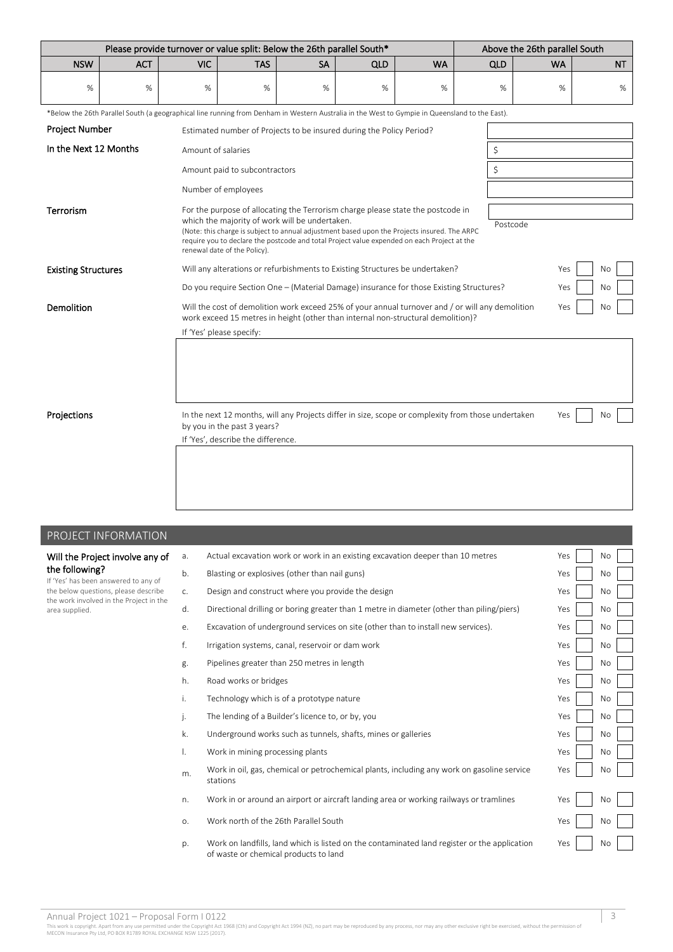|                            | Please provide turnover or value split: Below the 26th parallel South*                                                                         |                                                                                                                                                                                                   |                                                                                                |                                                |                                                                                                                                                                                                                                                                                |           |                                                                                                    | Above the 26th parallel South |           |  |
|----------------------------|------------------------------------------------------------------------------------------------------------------------------------------------|---------------------------------------------------------------------------------------------------------------------------------------------------------------------------------------------------|------------------------------------------------------------------------------------------------|------------------------------------------------|--------------------------------------------------------------------------------------------------------------------------------------------------------------------------------------------------------------------------------------------------------------------------------|-----------|----------------------------------------------------------------------------------------------------|-------------------------------|-----------|--|
| <b>NSW</b>                 | <b>ACT</b>                                                                                                                                     | <b>VIC</b>                                                                                                                                                                                        | <b>TAS</b>                                                                                     | <b>SA</b>                                      | QLD                                                                                                                                                                                                                                                                            | <b>WA</b> | <b>QLD</b>                                                                                         | <b>WA</b>                     | <b>NT</b> |  |
| %                          | %                                                                                                                                              | %                                                                                                                                                                                                 | %                                                                                              | %                                              | %                                                                                                                                                                                                                                                                              | %         | $\%$                                                                                               | %                             | %         |  |
|                            | *Below the 26th Parallel South (a geographical line running from Denham in Western Australia in the West to Gympie in Queensland to the East). |                                                                                                                                                                                                   |                                                                                                |                                                |                                                                                                                                                                                                                                                                                |           |                                                                                                    |                               |           |  |
| Project Number             |                                                                                                                                                |                                                                                                                                                                                                   |                                                                                                |                                                | Estimated number of Projects to be insured during the Policy Period?                                                                                                                                                                                                           |           |                                                                                                    |                               |           |  |
| In the Next 12 Months      |                                                                                                                                                | Amount of salaries                                                                                                                                                                                |                                                                                                |                                                |                                                                                                                                                                                                                                                                                |           | \$                                                                                                 |                               |           |  |
|                            |                                                                                                                                                |                                                                                                                                                                                                   | Amount paid to subcontractors                                                                  |                                                |                                                                                                                                                                                                                                                                                |           | \$                                                                                                 |                               |           |  |
|                            |                                                                                                                                                |                                                                                                                                                                                                   | Number of employees                                                                            |                                                |                                                                                                                                                                                                                                                                                |           |                                                                                                    |                               |           |  |
| <b>Terrorism</b>           |                                                                                                                                                |                                                                                                                                                                                                   | renewal date of the Policy).                                                                   | which the majority of work will be undertaken. | For the purpose of allocating the Terrorism charge please state the postcode in<br>(Note: this charge is subject to annual adjustment based upon the Projects insured. The ARPC<br>require you to declare the postcode and total Project value expended on each Project at the |           | Postcode                                                                                           |                               |           |  |
| <b>Existing Structures</b> |                                                                                                                                                |                                                                                                                                                                                                   |                                                                                                |                                                | Will any alterations or refurbishments to Existing Structures be undertaken?                                                                                                                                                                                                   |           |                                                                                                    | Yes                           | No        |  |
|                            |                                                                                                                                                |                                                                                                                                                                                                   | Do you require Section One - (Material Damage) insurance for those Existing Structures?<br>Yes |                                                |                                                                                                                                                                                                                                                                                |           |                                                                                                    |                               | No        |  |
| Demolition                 |                                                                                                                                                | Will the cost of demolition work exceed 25% of your annual turnover and / or will any demolition<br>Yes<br>No<br>work exceed 15 metres in height (other than internal non-structural demolition)? |                                                                                                |                                                |                                                                                                                                                                                                                                                                                |           |                                                                                                    |                               |           |  |
|                            |                                                                                                                                                |                                                                                                                                                                                                   | If 'Yes' please specify:                                                                       |                                                |                                                                                                                                                                                                                                                                                |           |                                                                                                    |                               |           |  |
| Projections                |                                                                                                                                                |                                                                                                                                                                                                   | by you in the past 3 years?<br>If 'Yes', describe the difference.                              |                                                |                                                                                                                                                                                                                                                                                |           | In the next 12 months, will any Projects differ in size, scope or complexity from those undertaken | Yes                           | <b>No</b> |  |

| PROJECT INFORMATION                                                             |                |                                                                                                                                       |     |           |  |
|---------------------------------------------------------------------------------|----------------|---------------------------------------------------------------------------------------------------------------------------------------|-----|-----------|--|
| Will the Project involve any of                                                 | a.             | Actual excavation work or work in an existing excavation deeper than 10 metres                                                        | Yes | <b>No</b> |  |
| the following?<br>If 'Yes' has been answered to any of                          | b.             | Blasting or explosives (other than nail guns)                                                                                         | Yes | No        |  |
| the below questions, please describe<br>the work involved in the Project in the | C <sub>1</sub> | Design and construct where you provide the design                                                                                     | Yes | No        |  |
| area supplied.                                                                  | d.             | Directional drilling or boring greater than 1 metre in diameter (other than piling/piers)                                             | Yes | <b>No</b> |  |
|                                                                                 | e.             | Excavation of underground services on site (other than to install new services).                                                      | Yes | No        |  |
|                                                                                 | f.             | Irrigation systems, canal, reservoir or dam work                                                                                      | Yes | No        |  |
|                                                                                 | g.             | Pipelines greater than 250 metres in length                                                                                           | Yes | No        |  |
|                                                                                 | h.             | Road works or bridges                                                                                                                 | Yes | No        |  |
|                                                                                 | i.             | Technology which is of a prototype nature                                                                                             | Yes | No        |  |
|                                                                                 | j.             | The lending of a Builder's licence to, or by, you                                                                                     | Yes | No        |  |
|                                                                                 | k.             | Underground works such as tunnels, shafts, mines or galleries                                                                         | Yes | No        |  |
|                                                                                 | Ι.             | Work in mining processing plants                                                                                                      | Yes | <b>No</b> |  |
|                                                                                 | m.             | Work in oil, gas, chemical or petrochemical plants, including any work on gasoline service<br>stations                                | Yes | <b>No</b> |  |
|                                                                                 | n.             | Work in or around an airport or aircraft landing area or working railways or tramlines                                                | Yes | No        |  |
|                                                                                 | O <sub>x</sub> | Work north of the 26th Parallel South                                                                                                 | Yes | No        |  |
|                                                                                 | p.             | Work on landfills, land which is listed on the contaminated land register or the application<br>of waste or chemical products to land | Yes | No        |  |

Annual Project 1021 — Proposal Form 1 0122<br>This work is copyright. Apart from any use permitted under the Copyright Act 1968 (Cth) and Copyright Act 1994 (NZ), no part may be reproduced by any process, nor may any other ex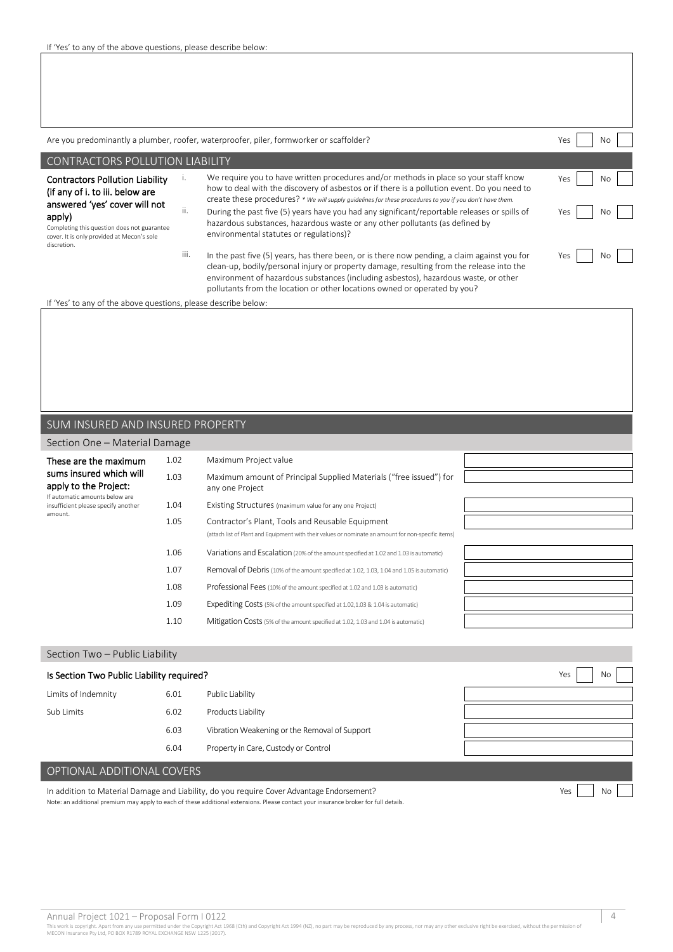|                                                                                                                                                                                                                                  | Are you predominantly a plumber, roofer, waterproofer, piler, formworker or scaffolder?<br>Yes<br>No. |                                                                                                                                                                                                                                                                                                                                                                                                                                                                                                                            |                        |  |  |  |  |
|----------------------------------------------------------------------------------------------------------------------------------------------------------------------------------------------------------------------------------|-------------------------------------------------------------------------------------------------------|----------------------------------------------------------------------------------------------------------------------------------------------------------------------------------------------------------------------------------------------------------------------------------------------------------------------------------------------------------------------------------------------------------------------------------------------------------------------------------------------------------------------------|------------------------|--|--|--|--|
| <b>CONTRACTORS POLLUTION LIABILITY</b>                                                                                                                                                                                           |                                                                                                       |                                                                                                                                                                                                                                                                                                                                                                                                                                                                                                                            |                        |  |  |  |  |
| <b>Contractors Pollution Liability</b><br>(if any of i. to iii. below are<br>answered 'yes' cover will not<br>apply)<br>Completing this question does not guarantee<br>cover. It is only provided at Mecon's sole<br>discretion. | ۱.<br>ii.                                                                                             | We require you to have written procedures and/or methods in place so your staff know<br>how to deal with the discovery of asbestos or if there is a pollution event. Do you need to<br>create these procedures? * We will supply guidelines for these procedures to you if you don't have them.<br>During the past five (5) years have you had any significant/reportable releases or spills of<br>hazardous substances, hazardous waste or any other pollutants (as defined by<br>environmental statutes or regulations)? | Yes<br>No<br>Yes<br>No |  |  |  |  |
|                                                                                                                                                                                                                                  | iii.                                                                                                  | In the past five (5) years, has there been, or is there now pending, a claim against you for<br>clean-up, bodily/personal injury or property damage, resulting from the release into the<br>environment of hazardous substances (including asbestos), hazardous waste, or other<br>pollutants from the location or other locations owned or operated by you?                                                                                                                                                               | Yes<br>No.             |  |  |  |  |

If 'Yes' to any of the above questions, please describe below:

#### SUM INSURED AND INSURED PROPERTY

#### Section One – Material Damage

| These are the maximum                                                 | 1.02 | Maximum Project value                                                                                                                                   |  |
|-----------------------------------------------------------------------|------|---------------------------------------------------------------------------------------------------------------------------------------------------------|--|
| sums insured which will<br>apply to the Project:                      | 1.03 | Maximum amount of Principal Supplied Materials ("free issued") for<br>any one Project                                                                   |  |
| If automatic amounts below are<br>insufficient please specify another | 1.04 | Existing Structures (maximum value for any one Project)                                                                                                 |  |
| amount.                                                               | 1.05 | Contractor's Plant, Tools and Reusable Equipment<br>(attach list of Plant and Equipment with their values or nominate an amount for non-specific items) |  |
|                                                                       | 1.06 | Variations and Escalation (20% of the amount specified at 1.02 and 1.03 is automatic)                                                                   |  |
|                                                                       | 1.07 | Removal of Debris (10% of the amount specified at 1.02, 1.03, 1.04 and 1.05 is automatic)                                                               |  |
|                                                                       | 1.08 | Professional Fees (10% of the amount specified at 1.02 and 1.03 is automatic)                                                                           |  |
|                                                                       | 1.09 | Expediting Costs (5% of the amount specified at 1.02,1.03 & 1.04 is automatic)                                                                          |  |
|                                                                       | 1.10 | Mitigation Costs (5% of the amount specified at 1.02, 1.03 and 1.04 is automatic)                                                                       |  |

# Section Two – Public Liability

| Is Section Two Public Liability required? |      |                                               | Yes<br>No |
|-------------------------------------------|------|-----------------------------------------------|-----------|
| Limits of Indemnity                       | 6.01 | Public Liability                              |           |
| Sub Limits                                | 6.02 | Products Liability                            |           |
|                                           | 6.03 | Vibration Weakening or the Removal of Support |           |
|                                           | 6.04 | Property in Care, Custody or Control          |           |
| OPTIONAL ADDITIONAL COVERS                |      |                                               |           |

In addition to Material Damage and Liability, do you require Cover Advantage Endorsement? Note: an additional premium may apply to each of these additional extensions. Please contact your insurance broker for full details.

Annual Project 1021 — Proposal Form 1 0122<br>This work is copyright. Apart from any use permitted under the Copyright Act 1968 (Cth) and Copyright Act 1994 (NZ), no part may be reproduced by any process, nor may any other ex

Yes No